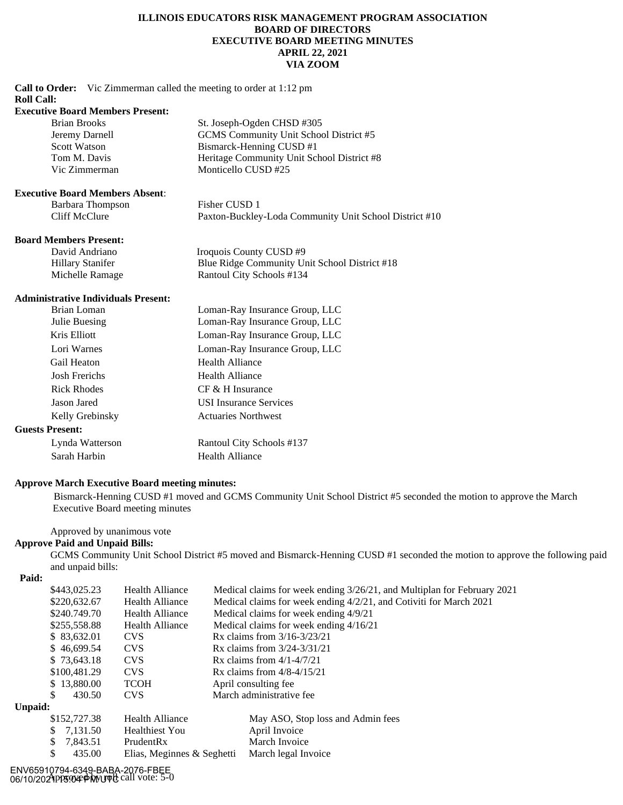#### **ILLINOIS EDUCATORS RISK MANAGEMENT PROGRAM ASSOCIATION BOARD OF DIRECTORS EXECUTIVE BOARD MEETING MINUTES APRIL 22, 2021 VIA ZOOM**

**Call to Order:** Vic Zimmerman called the meeting to order at 1:12 pm

#### **Roll Call:**

#### **Executive Board Members Present:**

| Brian Brooks        | St. Joseph-Ogden CHSD #305                 |
|---------------------|--------------------------------------------|
| Jeremy Darnell      | GCMS Community Unit School District #5     |
| <b>Scott Watson</b> | Bismarck-Henning CUSD #1                   |
| Tom M. Davis        | Heritage Community Unit School District #8 |
| Vic Zimmerman       | Monticello CUSD #25                        |
|                     |                                            |

#### **Executive Board Members Absent**:

| Barbara Thompson | Fisher CUSD 1                                          |
|------------------|--------------------------------------------------------|
| Cliff McClure    | Paxton-Buckley-Loda Community Unit School District #10 |

#### **Board Members Present:**

| David Andriano   | Iroquois County CUSD #9                       |
|------------------|-----------------------------------------------|
| Hillary Stanifer | Blue Ridge Community Unit School District #18 |
| Michelle Ramage  | Rantoul City Schools #134                     |

### **Administrative Individuals Present:**

| Brian Loman            | Loman-Ray Insurance Group, LLC |
|------------------------|--------------------------------|
| Julie Buesing          | Loman-Ray Insurance Group, LLC |
| Kris Elliott           | Loman-Ray Insurance Group, LLC |
| Lori Warnes            | Loman-Ray Insurance Group, LLC |
| Gail Heaton            | <b>Health Alliance</b>         |
| <b>Josh Frerichs</b>   | <b>Health Alliance</b>         |
| <b>Rick Rhodes</b>     | $CF & H$ Insurance             |
| Jason Jared            | <b>USI</b> Insurance Services  |
| Kelly Grebinsky        | <b>Actuaries Northwest</b>     |
| <b>Guests Present:</b> |                                |

#### Guest:

| Lynda Watterson | Rantoul City Schools #137 |
|-----------------|---------------------------|
| Sarah Harbin    | Health Alliance           |

### **Approve March Executive Board meeting minutes:**

Bismarck-Henning CUSD #1 moved and GCMS Community Unit School District #5 seconded the motion to approve the March Executive Board meeting minutes

# Approved by unanimous vote

# **Approve Paid and Unpaid Bills:**

GCMS Community Unit School District #5 moved and Bismarck-Henning CUSD #1 seconded the motion to approve the following paid and unpaid bills:

#### **Paid:**

| 1 alu.         |                |                            |                                                                         |  |
|----------------|----------------|----------------------------|-------------------------------------------------------------------------|--|
|                | \$443,025.23   | <b>Health Alliance</b>     | Medical claims for week ending 3/26/21, and Multiplan for February 2021 |  |
|                | \$220,632.67   | <b>Health Alliance</b>     | Medical claims for week ending 4/2/21, and Cotiviti for March 2021      |  |
|                | \$240.749.70   | <b>Health Alliance</b>     | Medical claims for week ending 4/9/21                                   |  |
|                | \$255,558.88   | <b>Health Alliance</b>     | Medical claims for week ending 4/16/21                                  |  |
|                | \$ 83,632.01   | <b>CVS</b>                 | Rx claims from $3/16 - 3/23/21$                                         |  |
|                | \$46,699.54    | <b>CVS</b>                 | Rx claims from $3/24 - 3/31/21$                                         |  |
|                | \$73,643.18    | <b>CVS</b>                 | Rx claims from $4/1-4/7/21$                                             |  |
|                | \$100,481.29   | <b>CVS</b>                 | Rx claims from $4/8-4/15/21$                                            |  |
|                | \$13,880,00    | <b>TCOH</b>                | April consulting fee                                                    |  |
|                | 430.50<br>S    | <b>CVS</b>                 | March administrative fee                                                |  |
| <b>Unpaid:</b> |                |                            |                                                                         |  |
|                | \$152,727.38   | <b>Health Alliance</b>     | May ASO, Stop loss and Admin fees                                       |  |
|                | 7,131.50<br>S. | <b>Healthiest You</b>      | April Invoice                                                           |  |
|                | 7,843.51<br>S. | PrudentRx                  | March Invoice                                                           |  |
|                | \$<br>435.00   | Elias, Meginnes & Seghetti | March legal Invoice                                                     |  |
|                |                |                            |                                                                         |  |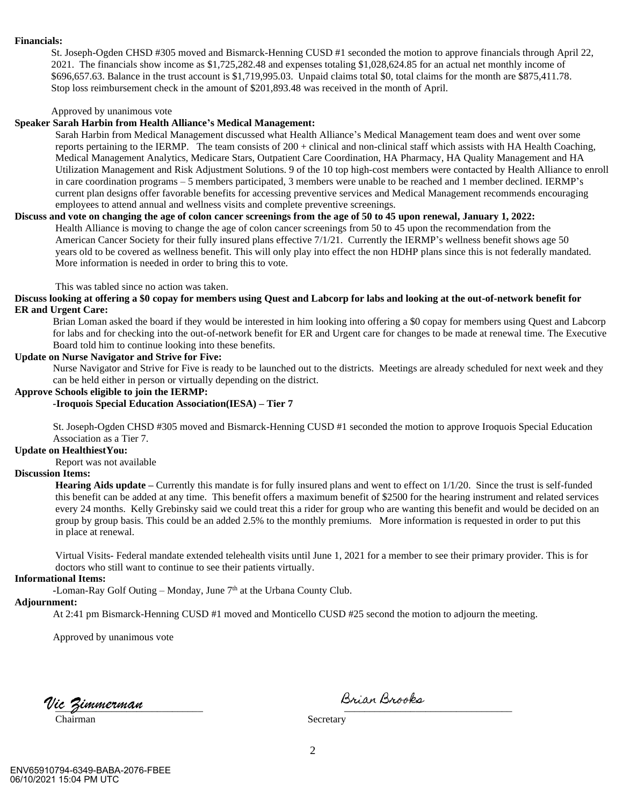#### **Financials:**

St. Joseph-Ogden CHSD #305 moved and Bismarck-Henning CUSD #1 seconded the motion to approve financials through April 22, 2021. The financials show income as \$1,725,282.48 and expenses totaling \$1,028,624.85 for an actual net monthly income of \$696,657.63. Balance in the trust account is \$1,719,995.03. Unpaid claims total \$0, total claims for the month are \$875,411.78. Stop loss reimbursement check in the amount of \$201,893.48 was received in the month of April.

Approved by unanimous vote

#### **Speaker Sarah Harbin from Health Alliance's Medical Management:**

Sarah Harbin from Medical Management discussed what Health Alliance's Medical Management team does and went over some reports pertaining to the IERMP. The team consists of 200 + clinical and non-clinical staff which assists with HA Health Coaching, Medical Management Analytics, Medicare Stars, Outpatient Care Coordination, HA Pharmacy, HA Quality Management and HA Utilization Management and Risk Adjustment Solutions. 9 of the 10 top high-cost members were contacted by Health Alliance to enroll in care coordination programs – 5 members participated, 3 members were unable to be reached and 1 member declined. IERMP's current plan designs offer favorable benefits for accessing preventive services and Medical Management recommends encouraging employees to attend annual and wellness visits and complete preventive screenings.

#### **Discuss and vote on changing the age of colon cancer screenings from the age of 50 to 45 upon renewal, January 1, 2022:** Health Alliance is moving to change the age of colon cancer screenings from 50 to 45 upon the recommendation from the American Cancer Society for their fully insured plans effective 7/1/21. Currently the IERMP's wellness benefit shows age 50 years old to be covered as wellness benefit. This will only play into effect the non HDHP plans since this is not federally mandated. More information is needed in order to bring this to vote.

This was tabled since no action was taken.

#### **Discuss looking at offering a \$0 copay for members using Quest and Labcorp for labs and looking at the out-of-network benefit for ER and Urgent Care:**

Brian Loman asked the board if they would be interested in him looking into offering a \$0 copay for members using Quest and Labcorp for labs and for checking into the out-of-network benefit for ER and Urgent care for changes to be made at renewal time. The Executive Board told him to continue looking into these benefits.

#### **Update on Nurse Navigator and Strive for Five:**

Nurse Navigator and Strive for Five is ready to be launched out to the districts. Meetings are already scheduled for next week and they can be held either in person or virtually depending on the district.

#### **Approve Schools eligible to join the IERMP:**

 **-Iroquois Special Education Association(IESA) – Tier 7**

St. Joseph-Ogden CHSD #305 moved and Bismarck-Henning CUSD #1 seconded the motion to approve Iroquois Special Education Association as a Tier 7.

#### **Update on HealthiestYou:**

Report was not available

#### **Discussion Items:**

**Hearing Aids update** – Currently this mandate is for fully insured plans and went to effect on  $1/1/20$ . Since the trust is self-funded this benefit can be added at any time. This benefit offers a maximum benefit of \$2500 for the hearing instrument and related services every 24 months. Kelly Grebinsky said we could treat this a rider for group who are wanting this benefit and would be decided on an group by group basis. This could be an added 2.5% to the monthly premiums. More information is requested in order to put this in place at renewal.

 Virtual Visits- Federal mandate extended telehealth visits until June 1, 2021 for a member to see their primary provider. This is for doctors who still want to continue to see their patients virtually.

#### **Informational Items:**

**-Loman-Ray Golf Outing – Monday, June**  $7<sup>th</sup>$  **at the Urbana County Club.** 

### **Adjournment:**

At 2:41 pm Bismarck-Henning CUSD #1 moved and Monticello CUSD #25 second the motion to adjourn the meeting.

Approved by unanimous vote

Vic Zimmerman **de Lander en Lander Brian Brooks** 

Chairman Secretary